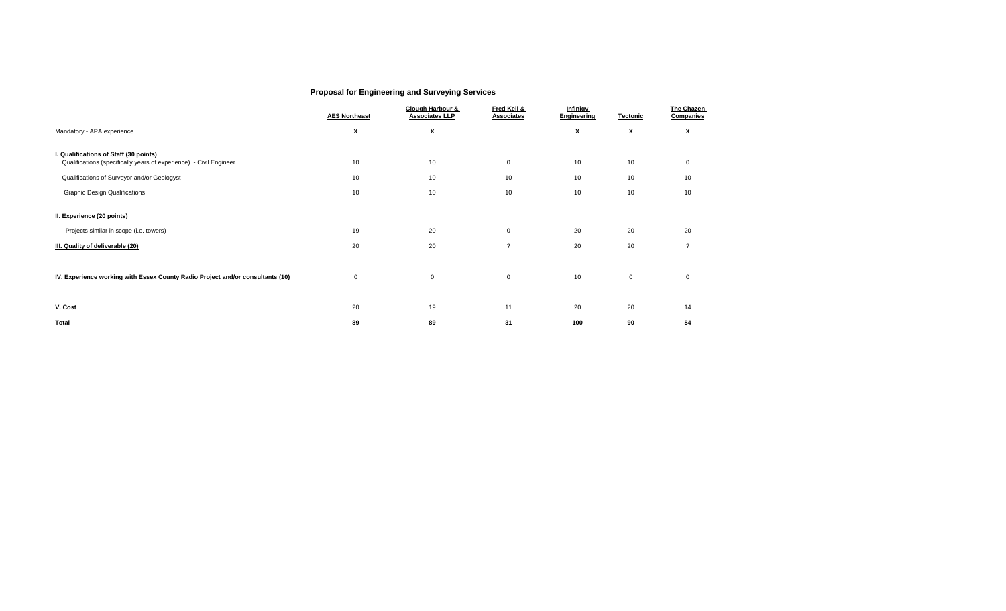## **Proposal for Engineering and Surveying Services**

|                                                                                                              | <b>AES Northeast</b> | Clough Harbour &<br><b>Associates LLP</b> | Fred Keil &<br>Associates | <b>Infinigy</b><br>Engineering | <b>Tectonic</b> | The Chazen<br>Companies |
|--------------------------------------------------------------------------------------------------------------|----------------------|-------------------------------------------|---------------------------|--------------------------------|-----------------|-------------------------|
| Mandatory - APA experience                                                                                   | X                    | X                                         |                           | X                              | X               | X                       |
| I. Qualifications of Staff (30 points)<br>Qualifications (specifically years of experience) - Civil Engineer | 10                   | 10                                        | $\mathbf 0$               | 10                             | 10              | $\mathbf 0$             |
| Qualifications of Surveyor and/or Geologyst                                                                  | 10                   | 10                                        | 10                        | 10                             | 10              | 10                      |
| <b>Graphic Design Qualifications</b>                                                                         | 10                   | 10                                        | 10                        | 10                             | 10              | 10                      |
| II. Experience (20 points)<br>Projects similar in scope (i.e. towers)                                        | 19                   | 20                                        | $\mathbf 0$               | 20                             | 20              | 20                      |
| III. Quality of deliverable (20)                                                                             | 20                   | 20                                        | ?                         | 20                             | 20              | $\boldsymbol{\eta}$     |
|                                                                                                              |                      |                                           |                           |                                |                 |                         |
| IV. Experience working with Essex County Radio Project and/or consultants (10)                               | $\mathbf 0$          | 0                                         | $\mathsf 0$               | 10                             | $\mathsf 0$     | $\mathbf 0$             |
| V. Cost                                                                                                      | 20                   | 19                                        | 11                        | 20                             | 20              | 14                      |
| Total                                                                                                        | 89                   | 89                                        | 31                        | 100                            | 90              | 54                      |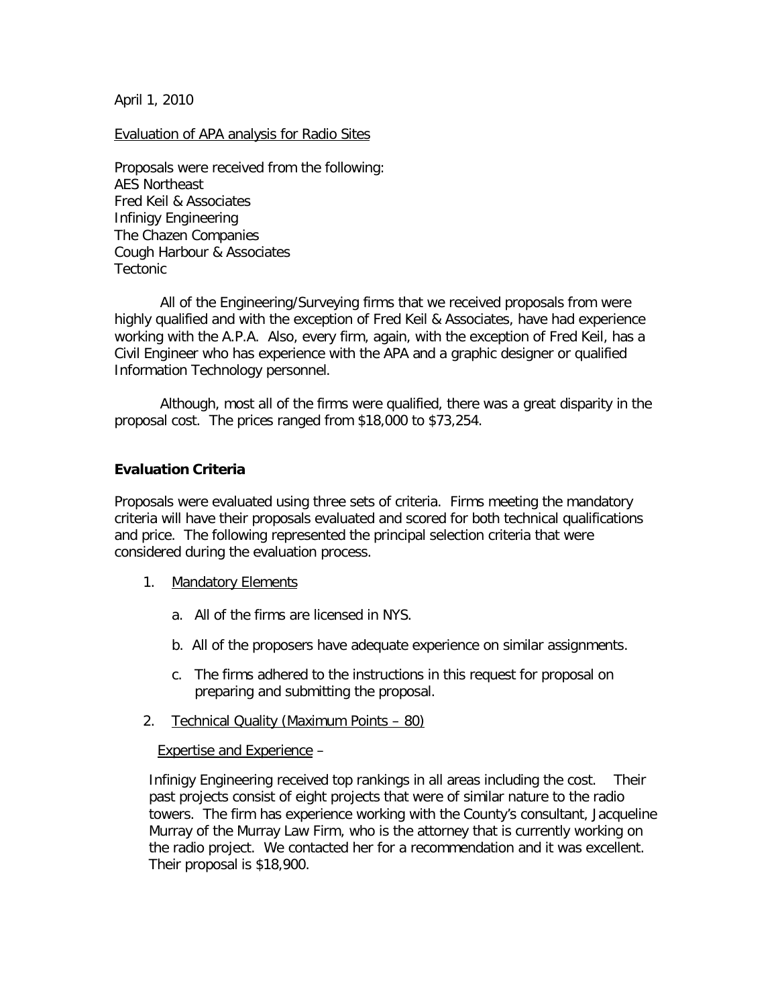April 1, 2010

Evaluation of APA analysis for Radio Sites

Proposals were received from the following: AES Northeast Fred Keil & Associates Infinigy Engineering The Chazen Companies Cough Harbour & Associates Tectonic

All of the Engineering/Surveying firms that we received proposals from were highly qualified and with the exception of Fred Keil & Associates, have had experience working with the A.P.A. Also, every firm, again, with the exception of Fred Keil, has a Civil Engineer who has experience with the APA and a graphic designer or qualified Information Technology personnel.

Although, most all of the firms were qualified, there was a great disparity in the proposal cost. The prices ranged from \$18,000 to \$73,254.

## **Evaluation Criteria**

Proposals were evaluated using three sets of criteria. Firms meeting the mandatory criteria will have their proposals evaluated and scored for both technical qualifications and price. The following represented the principal selection criteria that were considered during the evaluation process.

- 1. Mandatory Elements
	- a. All of the firms are licensed in NYS.
	- b. All of the proposers have adequate experience on similar assignments.
	- c. The firms adhered to the instructions in this request for proposal on preparing and submitting the proposal.
- 2. Technical Quality (Maximum Points 80)

Expertise and Experience –

Infinigy Engineering received top rankings in all areas including the cost. Their past projects consist of eight projects that were of similar nature to the radio towers. The firm has experience working with the County's consultant, Jacqueline Murray of the Murray Law Firm, who is the attorney that is currently working on the radio project. We contacted her for a recommendation and it was excellent. Their proposal is \$18,900.